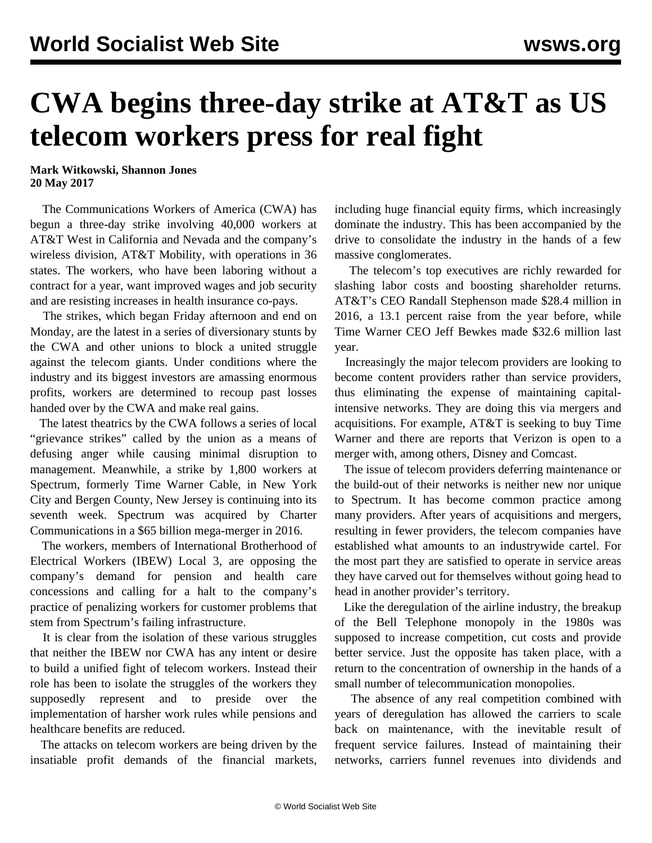## **CWA begins three-day strike at AT&T as US telecom workers press for real fight**

**Mark Witkowski, Shannon Jones 20 May 2017**

 The Communications Workers of America (CWA) has begun a three-day strike involving 40,000 workers at AT&T West in California and Nevada and the company's wireless division, AT&T Mobility, with operations in 36 states. The workers, who have been laboring without a contract for a year, want improved wages and job security and are resisting increases in health insurance co-pays.

 The strikes, which began Friday afternoon and end on Monday, are the latest in a series of diversionary stunts by the CWA and other unions to block a united struggle against the telecom giants. Under conditions where the industry and its biggest investors are amassing enormous profits, workers are determined to recoup past losses handed over by the CWA and make real gains.

 The latest theatrics by the CWA follows a series of local "grievance strikes" called by the union as a means of defusing anger while causing minimal disruption to management. Meanwhile, a strike by 1,800 workers at Spectrum, formerly Time Warner Cable, in New York City and Bergen County, New Jersey is continuing into its seventh week. Spectrum was acquired by Charter Communications in a \$65 billion mega-merger in 2016.

 The workers, members of International Brotherhood of Electrical Workers (IBEW) Local 3, are opposing the company's demand for pension and health care concessions and calling for a halt to the company's practice of penalizing workers for customer problems that stem from Spectrum's failing infrastructure.

 It is clear from the isolation of these various struggles that neither the IBEW nor CWA has any intent or desire to build a unified fight of telecom workers. Instead their role has been to isolate the struggles of the workers they supposedly represent and to preside over the implementation of harsher work rules while pensions and healthcare benefits are reduced.

 The attacks on telecom workers are being driven by the insatiable profit demands of the financial markets,

including huge financial equity firms, which increasingly dominate the industry. This has been accompanied by the drive to consolidate the industry in the hands of a few massive conglomerates.

 The telecom's top executives are richly rewarded for slashing labor costs and boosting shareholder returns. AT&T's CEO Randall Stephenson made \$28.4 million in 2016, a 13.1 percent raise from the year before, while Time Warner CEO Jeff Bewkes made \$32.6 million last year.

 Increasingly the major telecom providers are looking to become content providers rather than service providers, thus eliminating the expense of maintaining capitalintensive networks. They are doing this via mergers and acquisitions. For example, AT&T is seeking to buy Time Warner and there are reports that Verizon is open to a merger with, among others, Disney and Comcast.

 The issue of telecom providers deferring maintenance or the build-out of their networks is neither new nor unique to Spectrum. It has become common practice among many providers. After years of acquisitions and mergers, resulting in fewer providers, the telecom companies have established what amounts to an industrywide cartel. For the most part they are satisfied to operate in service areas they have carved out for themselves without going head to head in another provider's territory.

 Like the deregulation of the airline industry, the breakup of the Bell Telephone monopoly in the 1980s was supposed to increase competition, cut costs and provide better service. Just the opposite has taken place, with a return to the concentration of ownership in the hands of a small number of telecommunication monopolies.

 The absence of any real competition combined with years of deregulation has allowed the carriers to scale back on maintenance, with the inevitable result of frequent service failures. Instead of maintaining their networks, carriers funnel revenues into dividends and